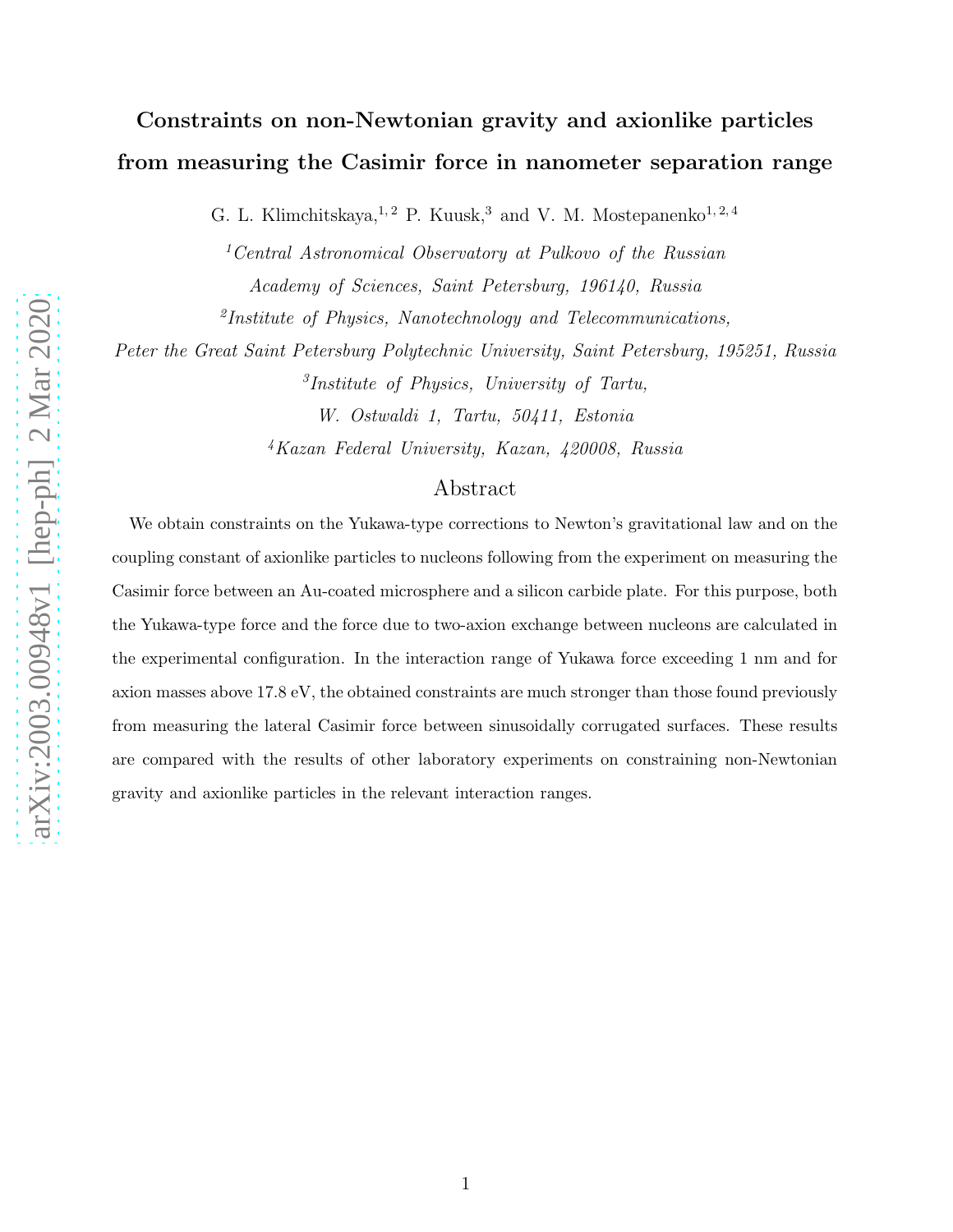# Constraints on non-Newtonian gravity and axionlike particles from measuring the Casimir force in nanometer separation range

G. L. Klimchitskaya,<sup>1,2</sup> P. Kuusk,<sup>3</sup> and V. M. Mostepanenko<sup>1,2,4</sup>

<sup>1</sup>Central Astronomical Observatory at Pulkovo of the Russian Academy of Sciences, Saint Petersburg, 196140, Russia <sup>2</sup>Institute of Physics, Nanotechnology and Telecommunications,

Peter the Great Saint Petersburg Polytechnic University, Saint Petersburg, 195251, Russia 3 Institute of Physics, University of Tartu,

W. Ostwaldi 1, Tartu, 50411, Estonia

<sup>4</sup>Kazan Federal University, Kazan, 420008, Russia

### Abstract

We obtain constraints on the Yukawa-type corrections to Newton's gravitational law and on the coupling constant of axionlike particles to nucleons following from the experiment on measuring the Casimir force between an Au-coated microsphere and a silicon carbide plate. For this purpose, both the Yukawa-type force and the force due to two-axion exchange between nucleons are calculated in the experimental configuration. In the interaction range of Yukawa force exceeding 1 nm and for axion masses above 17.8 eV, the obtained constraints are much stronger than those found previously from measuring the lateral Casimir force between sinusoidally corrugated surfaces. These results are compared with the results of other laboratory experiments on constraining non-Newtonian gravity and axionlike particles in the relevant interaction ranges.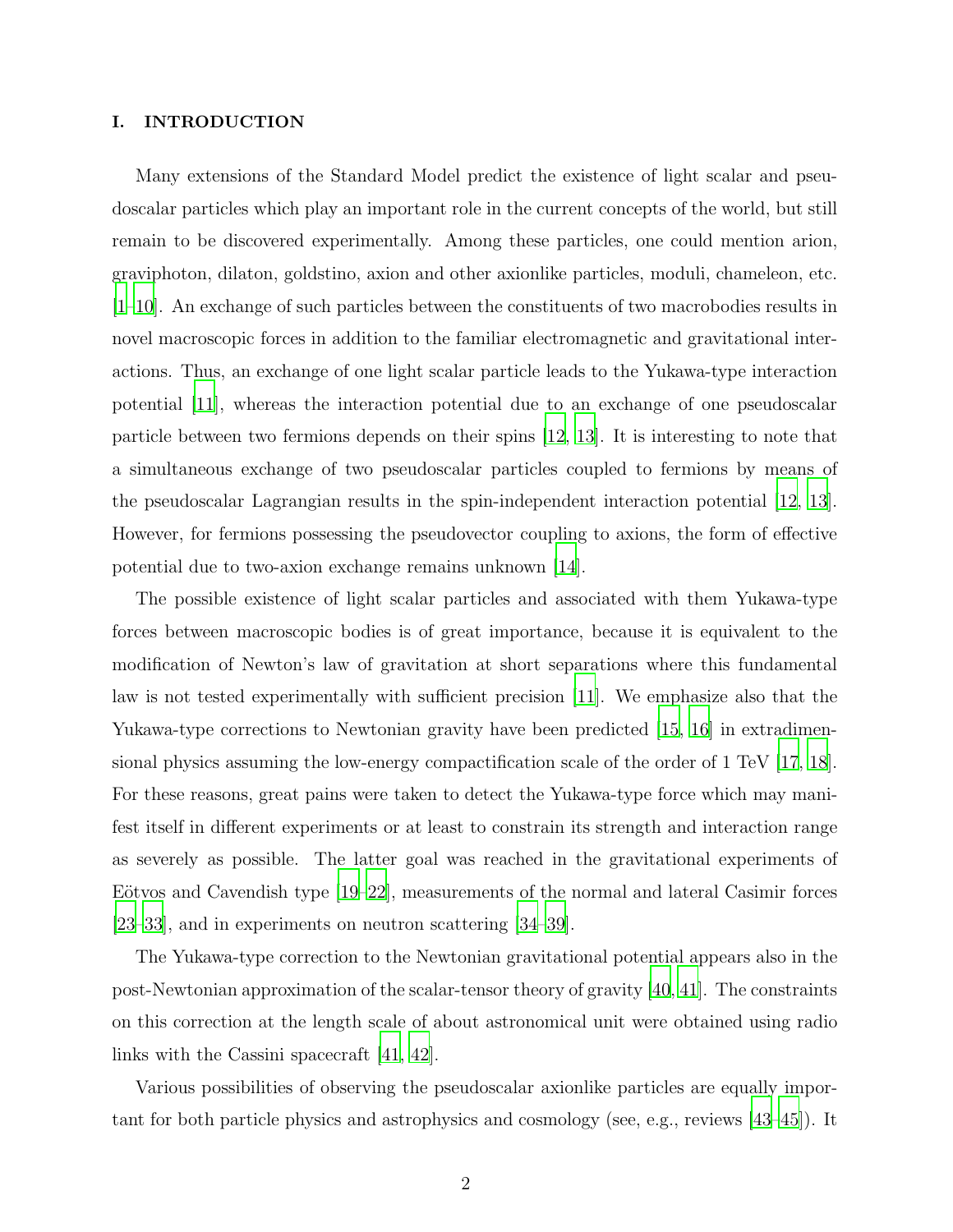#### I. INTRODUCTION

Many extensions of the Standard Model predict the existence of light scalar and pseudoscalar particles which play an important role in the current concepts of the world, but still remain to be discovered experimentally. Among these particles, one could mention arion, graviphoton, dilaton, goldstino, axion and other axionlike particles, moduli, chameleon, etc. [\[1](#page-9-0)[–10\]](#page-10-0). An exchange of such particles between the constituents of two macrobodies results in novel macroscopic forces in addition to the familiar electromagnetic and gravitational interactions. Thus, an exchange of one light scalar particle leads to the Yukawa-type interaction potential [\[11\]](#page-10-1), whereas the interaction potential due to an exchange of one pseudoscalar particle between two fermions depends on their spins [\[12](#page-10-2), [13](#page-10-3)]. It is interesting to note that a simultaneous exchange of two pseudoscalar particles coupled to fermions by means of the pseudoscalar Lagrangian results in the spin-independent interaction potential [\[12](#page-10-2), [13\]](#page-10-3). However, for fermions possessing the pseudovector coupling to axions, the form of effective potential due to two-axion exchange remains unknown [\[14](#page-10-4)].

The possible existence of light scalar particles and associated with them Yukawa-type forces between macroscopic bodies is of great importance, because it is equivalent to the modification of Newton's law of gravitation at short separations where this fundamental law is not tested experimentally with sufficient precision [\[11\]](#page-10-1). We emphasize also that the Yukawa-type corrections to Newtonian gravity have been predicted [\[15](#page-10-5), [16\]](#page-10-6) in extradimensional physics assuming the low-energy compactification scale of the order of 1 TeV [\[17](#page-10-7), [18\]](#page-10-8). For these reasons, great pains were taken to detect the Yukawa-type force which may manifest itself in different experiments or at least to constrain its strength and interaction range as severely as possible. The latter goal was reached in the gravitational experiments of Eötvos and Cavendish type  $[19–22]$  $[19–22]$  $[19–22]$ , measurements of the normal and lateral Casimir forces [\[23](#page-11-0)[–33\]](#page-11-1), and in experiments on neutron scattering [\[34](#page-12-0)[–39](#page-12-1)].

The Yukawa-type correction to the Newtonian gravitational potential appears also in the post-Newtonian approximation of the scalar-tensor theory of gravity [\[40,](#page-12-2) [41\]](#page-12-3). The constraints on this correction at the length scale of about astronomical unit were obtained using radio links with the Cassini spacecraft [\[41,](#page-12-3) [42\]](#page-12-4).

Various possibilities of observing the pseudoscalar axionlike particles are equally important for both particle physics and astrophysics and cosmology (see, e.g., reviews [\[43](#page-12-5)[–45](#page-12-6)]). It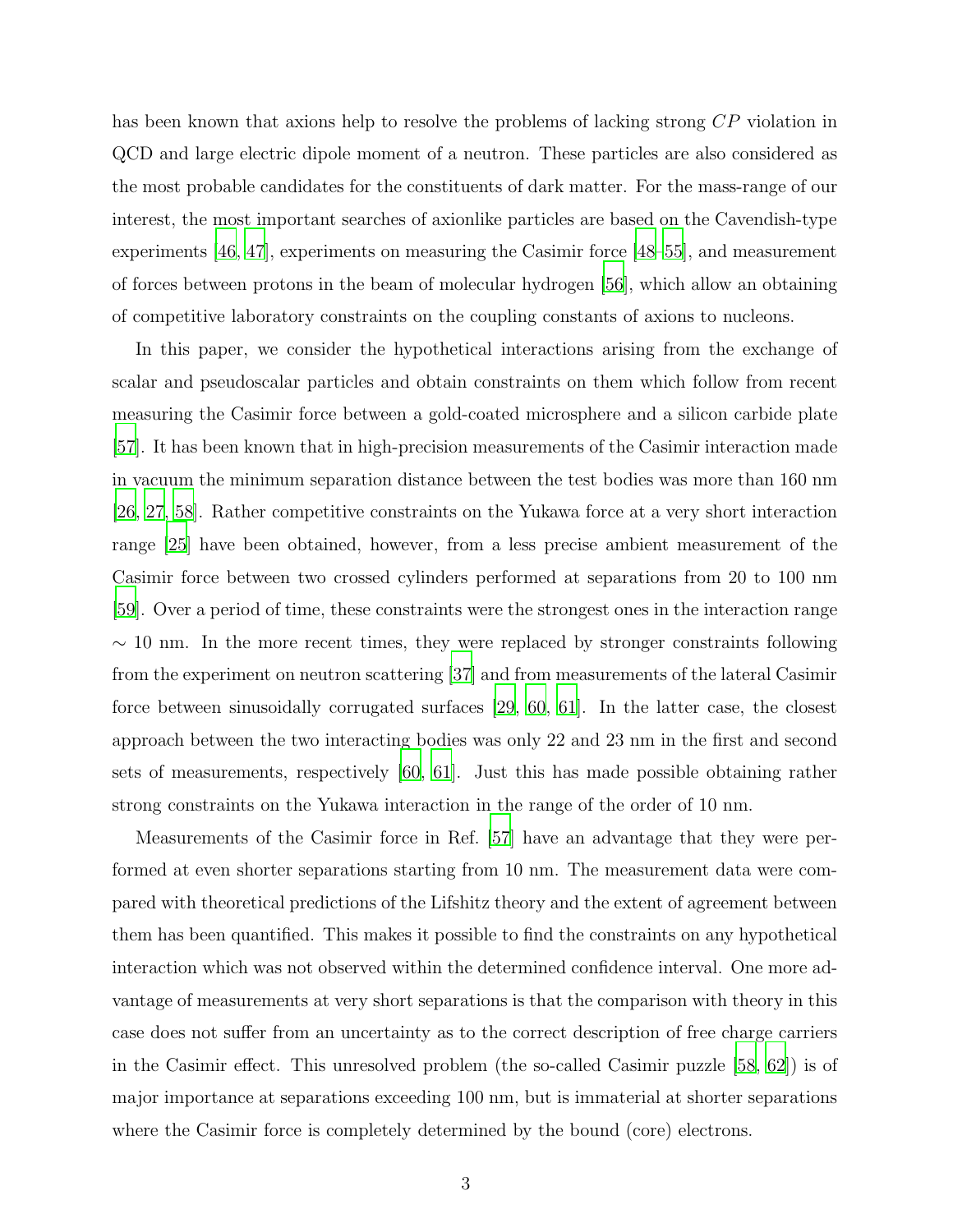has been known that axions help to resolve the problems of lacking strong CP violation in QCD and large electric dipole moment of a neutron. These particles are also considered as the most probable candidates for the constituents of dark matter. For the mass-range of our interest, the most important searches of axionlike particles are based on the Cavendish-type experiments [\[46,](#page-12-7) [47](#page-12-8)], experiments on measuring the Casimir force [\[48](#page-13-0)[–55\]](#page-13-1), and measurement of forces between protons in the beam of molecular hydrogen [\[56\]](#page-13-2), which allow an obtaining of competitive laboratory constraints on the coupling constants of axions to nucleons.

In this paper, we consider the hypothetical interactions arising from the exchange of scalar and pseudoscalar particles and obtain constraints on them which follow from recent measuring the Casimir force between a gold-coated microsphere and a silicon carbide plate [\[57\]](#page-13-3). It has been known that in high-precision measurements of the Casimir interaction made in vacuum the minimum separation distance between the test bodies was more than 160 nm [\[26,](#page-11-2) [27,](#page-11-3) [58](#page-13-4)]. Rather competitive constraints on the Yukawa force at a very short interaction range [\[25\]](#page-11-4) have been obtained, however, from a less precise ambient measurement of the Casimir force between two crossed cylinders performed at separations from 20 to 100 nm [\[59\]](#page-13-5). Over a period of time, these constraints were the strongest ones in the interaction range  $\sim$  10 nm. In the more recent times, they were replaced by stronger constraints following from the experiment on neutron scattering [\[37\]](#page-12-9) and from measurements of the lateral Casimir force between sinusoidally corrugated surfaces [\[29,](#page-11-5) [60,](#page-14-0) [61\]](#page-14-1). In the latter case, the closest approach between the two interacting bodies was only 22 and 23 nm in the first and second sets of measurements, respectively [\[60](#page-14-0), [61](#page-14-1)]. Just this has made possible obtaining rather strong constraints on the Yukawa interaction in the range of the order of 10 nm.

Measurements of the Casimir force in Ref. [\[57\]](#page-13-3) have an advantage that they were performed at even shorter separations starting from 10 nm. The measurement data were compared with theoretical predictions of the Lifshitz theory and the extent of agreement between them has been quantified. This makes it possible to find the constraints on any hypothetical interaction which was not observed within the determined confidence interval. One more advantage of measurements at very short separations is that the comparison with theory in this case does not suffer from an uncertainty as to the correct description of free charge carriers in the Casimir effect. This unresolved problem (the so-called Casimir puzzle [\[58,](#page-13-4) [62\]](#page-14-2)) is of major importance at separations exceeding 100 nm, but is immaterial at shorter separations where the Casimir force is completely determined by the bound (core) electrons.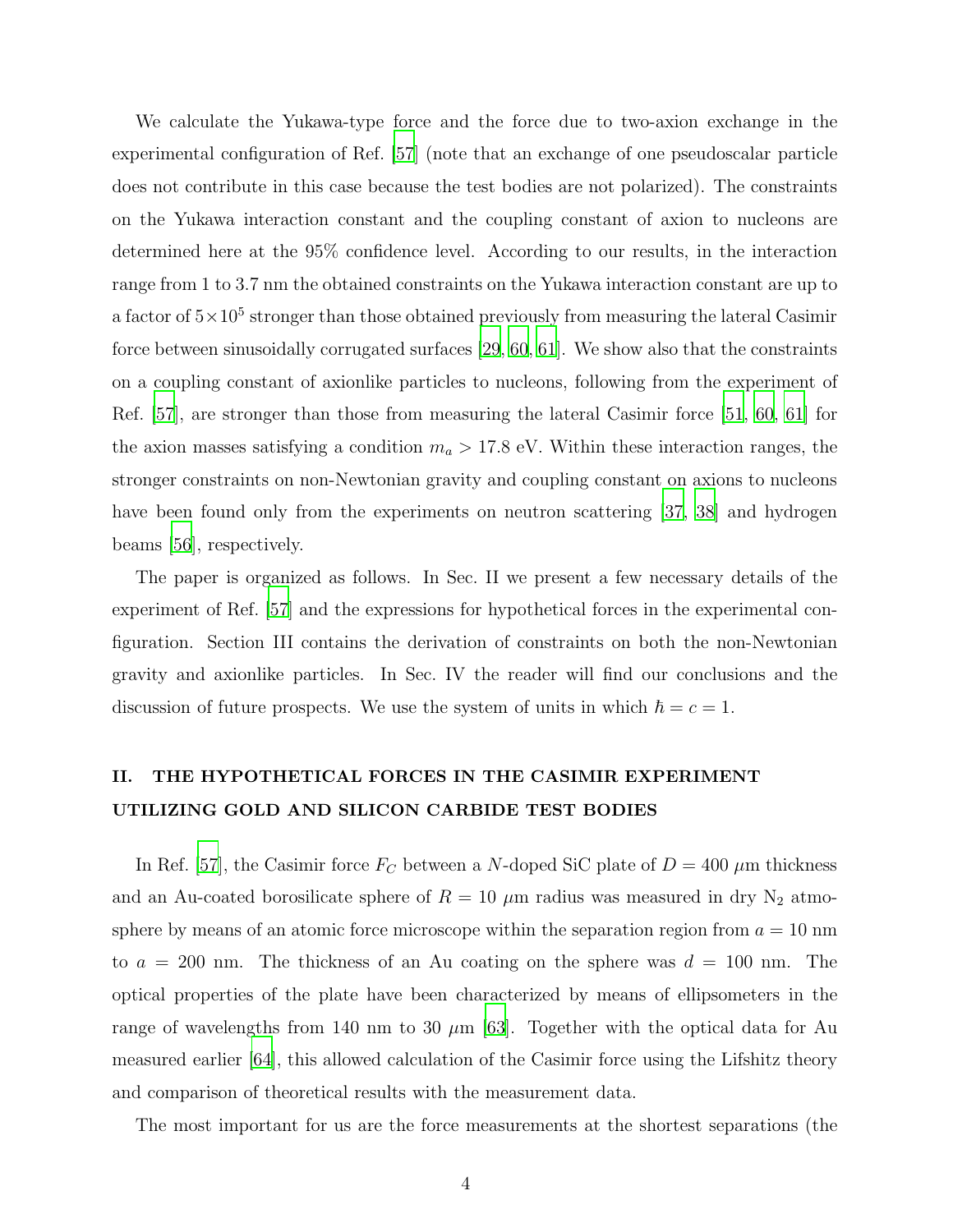We calculate the Yukawa-type force and the force due to two-axion exchange in the experimental configuration of Ref. [\[57](#page-13-3)] (note that an exchange of one pseudoscalar particle does not contribute in this case because the test bodies are not polarized). The constraints on the Yukawa interaction constant and the coupling constant of axion to nucleons are determined here at the 95% confidence level. According to our results, in the interaction range from 1 to 3.7 nm the obtained constraints on the Yukawa interaction constant are up to a factor of  $5 \times 10^5$  stronger than those obtained previously from measuring the lateral Casimir force between sinusoidally corrugated surfaces [\[29,](#page-11-5) [60,](#page-14-0) [61\]](#page-14-1). We show also that the constraints on a coupling constant of axionlike particles to nucleons, following from the experiment of Ref. [\[57\]](#page-13-3), are stronger than those from measuring the lateral Casimir force [\[51,](#page-13-6) [60](#page-14-0), [61\]](#page-14-1) for the axion masses satisfying a condition  $m_a > 17.8$  eV. Within these interaction ranges, the stronger constraints on non-Newtonian gravity and coupling constant on axions to nucleons have been found only from the experiments on neutron scattering [\[37](#page-12-9), [38](#page-12-10)] and hydrogen beams [\[56](#page-13-2)], respectively.

The paper is organized as follows. In Sec. II we present a few necessary details of the experiment of Ref. [\[57](#page-13-3)] and the expressions for hypothetical forces in the experimental configuration. Section III contains the derivation of constraints on both the non-Newtonian gravity and axionlike particles. In Sec. IV the reader will find our conclusions and the discussion of future prospects. We use the system of units in which  $\hbar = c = 1$ .

## II. THE HYPOTHETICAL FORCES IN THE CASIMIR EXPERIMENT UTILIZING GOLD AND SILICON CARBIDE TEST BODIES

In Ref. [\[57](#page-13-3)], the Casimir force  $F_C$  between a N-doped SiC plate of  $D = 400 \ \mu \text{m}$  thickness and an Au-coated borosilicate sphere of  $R = 10 \mu m$  radius was measured in dry N<sub>2</sub> atmosphere by means of an atomic force microscope within the separation region from  $a = 10$  nm to  $a = 200$  nm. The thickness of an Au coating on the sphere was  $d = 100$  nm. The optical properties of the plate have been characterized by means of ellipsometers in the range of wavelengths from 140 nm to 30  $\mu$ m [\[63\]](#page-14-3). Together with the optical data for Au measured earlier [\[64\]](#page-14-4), this allowed calculation of the Casimir force using the Lifshitz theory and comparison of theoretical results with the measurement data.

The most important for us are the force measurements at the shortest separations (the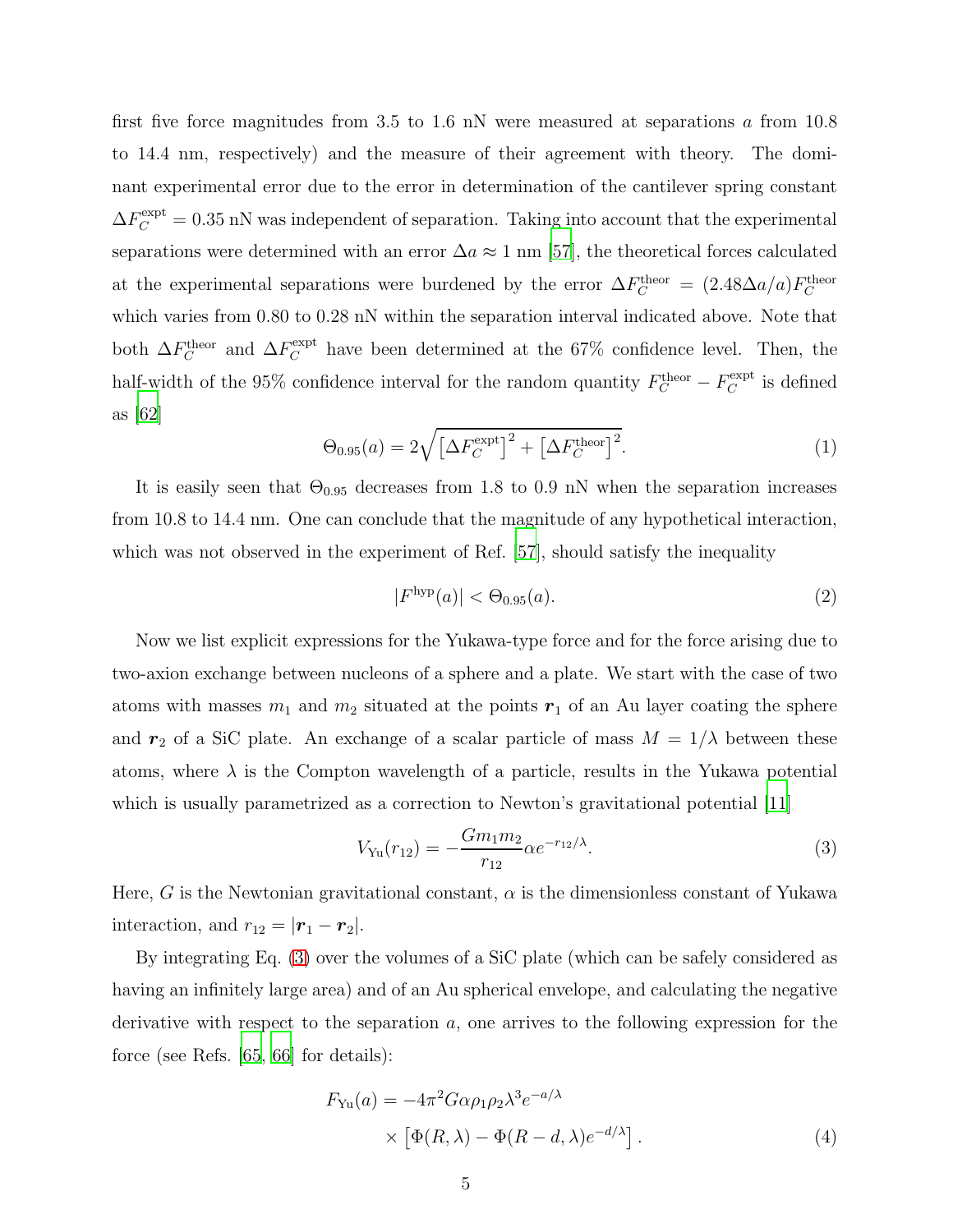first five force magnitudes from 3.5 to 1.6 nN were measured at separations  $\alpha$  from 10.8 to 14.4 nm, respectively) and the measure of their agreement with theory. The dominant experimental error due to the error in determination of the cantilever spring constant  $\Delta F_C^{\text{expt}} = 0.35 \text{ nN}$  was independent of separation. Taking into account that the experimental separations were determined with an error  $\Delta a \approx 1$  nm [\[57\]](#page-13-3), the theoretical forces calculated at the experimental separations were burdened by the error  $\Delta F_C^{\text{theor}} = (2.48 \Delta a/a) F_C^{\text{theor}}$ which varies from 0.80 to 0.28 nN within the separation interval indicated above. Note that both  $\Delta F_C^{\text{theor}}$  and  $\Delta F_C^{\text{expt}}$  have been determined at the 67% confidence level. Then, the half-width of the 95% confidence interval for the random quantity  $F_C^{\text{theor}} - F_C^{\text{expt}}$  $C^{\text{expt}}$  is defined as [\[62](#page-14-2)]

$$
\Theta_{0.95}(a) = 2\sqrt{\left[\Delta F_C^{\text{expt}}\right]^2 + \left[\Delta F_C^{\text{theor}}\right]^2}.
$$
\n(1)

It is easily seen that  $\Theta_{0.95}$  decreases from 1.8 to 0.9 nN when the separation increases from 10.8 to 14.4 nm. One can conclude that the magnitude of any hypothetical interaction, which was not observed in the experiment of Ref. [\[57\]](#page-13-3), should satisfy the inequality

<span id="page-4-2"></span>
$$
|F^{\text{hyp}}(a)| < \Theta_{0.95}(a). \tag{2}
$$

Now we list explicit expressions for the Yukawa-type force and for the force arising due to two-axion exchange between nucleons of a sphere and a plate. We start with the case of two atoms with masses  $m_1$  and  $m_2$  situated at the points  $r_1$  of an Au layer coating the sphere and  $r_2$  of a SiC plate. An exchange of a scalar particle of mass  $M = 1/\lambda$  between these atoms, where  $\lambda$  is the Compton wavelength of a particle, results in the Yukawa potential which is usually parametrized as a correction to Newton's gravitational potential [\[11\]](#page-10-1)

<span id="page-4-0"></span>
$$
V_{\text{Yu}}(r_{12}) = -\frac{Gm_1m_2}{r_{12}} \alpha e^{-r_{12}/\lambda}.
$$
\n(3)

Here, G is the Newtonian gravitational constant,  $\alpha$  is the dimensionless constant of Yukawa interaction, and  $r_{12} = |\mathbf{r}_1 - \mathbf{r}_2|$ .

By integrating Eq. [\(3\)](#page-4-0) over the volumes of a SiC plate (which can be safely considered as having an infinitely large area) and of an Au spherical envelope, and calculating the negative derivative with respect to the separation  $a$ , one arrives to the following expression for the force (see Refs. [\[65,](#page-14-5) [66\]](#page-14-6) for details):

<span id="page-4-1"></span>
$$
F_{\text{Yu}}(a) = -4\pi^2 G \alpha \rho_1 \rho_2 \lambda^3 e^{-a/\lambda}
$$
  
 
$$
\times \left[ \Phi(R, \lambda) - \Phi(R - d, \lambda) e^{-d/\lambda} \right]. \tag{4}
$$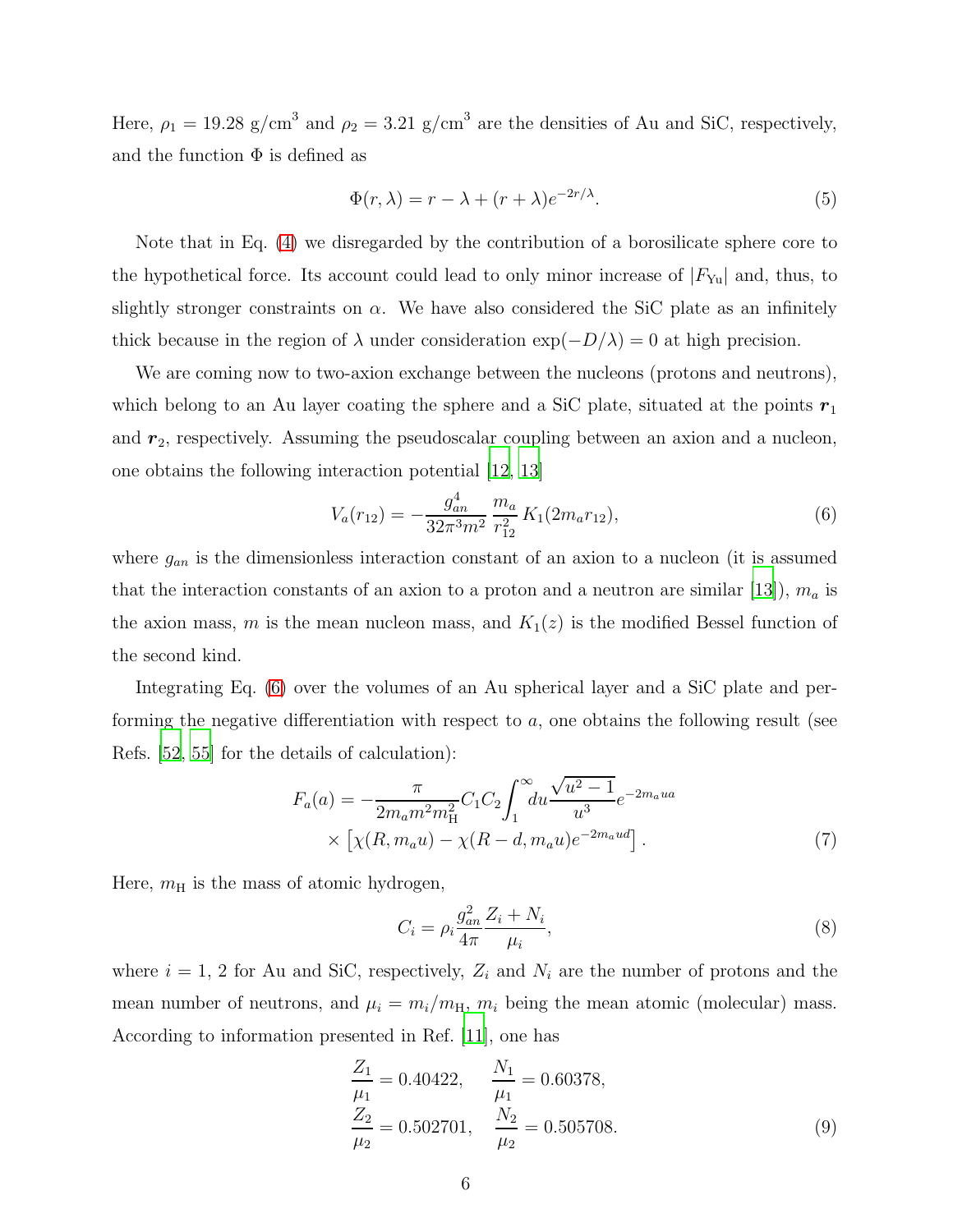Here,  $\rho_1 = 19.28$  g/cm<sup>3</sup> and  $\rho_2 = 3.21$  g/cm<sup>3</sup> are the densities of Au and SiC, respectively, and the function  $\Phi$  is defined as

<span id="page-5-2"></span>
$$
\Phi(r,\lambda) = r - \lambda + (r + \lambda)e^{-2r/\lambda}.\tag{5}
$$

Note that in Eq. [\(4\)](#page-4-1) we disregarded by the contribution of a borosilicate sphere core to the hypothetical force. Its account could lead to only minor increase of  $|F_{Yu}|$  and, thus, to slightly stronger constraints on  $\alpha$ . We have also considered the SiC plate as an infinitely thick because in the region of  $\lambda$  under consideration  $\exp(-D/\lambda) = 0$  at high precision.

We are coming now to two-axion exchange between the nucleons (protons and neutrons), which belong to an Au layer coating the sphere and a SiC plate, situated at the points  $r_1$ and  $r_2$ , respectively. Assuming the pseudoscalar coupling between an axion and a nucleon, one obtains the following interaction potential [\[12](#page-10-2), [13](#page-10-3)]

<span id="page-5-0"></span>
$$
V_a(r_{12}) = -\frac{g_{an}^4}{32\pi^3 m^2} \frac{m_a}{r_{12}^2} K_1(2m_a r_{12}),\tag{6}
$$

where  $g_{an}$  is the dimensionless interaction constant of an axion to a nucleon (it is assumed that the interaction constants of an axion to a proton and a neutron are similar [\[13\]](#page-10-3)),  $m_a$  is the axion mass, m is the mean nucleon mass, and  $K_1(z)$  is the modified Bessel function of the second kind.

Integrating Eq. [\(6\)](#page-5-0) over the volumes of an Au spherical layer and a SiC plate and performing the negative differentiation with respect to  $a$ , one obtains the following result (see Refs. [\[52](#page-13-7), [55](#page-13-1)] for the details of calculation):

<span id="page-5-1"></span>
$$
F_a(a) = -\frac{\pi}{2m_a m^2 m_H^2} C_1 C_2 \int_1^\infty du \frac{\sqrt{u^2 - 1}}{u^3} e^{-2m_a u a} \times \left[ \chi(R, m_a u) - \chi(R - d, m_a u) e^{-2m_a u d} \right].
$$
\n(7)

Here,  $m<sub>H</sub>$  is the mass of atomic hydrogen,

$$
C_i = \rho_i \frac{g_{an}^2}{4\pi} \frac{Z_i + N_i}{\mu_i},\tag{8}
$$

where  $i = 1, 2$  for Au and SiC, respectively,  $Z_i$  and  $N_i$  are the number of protons and the mean number of neutrons, and  $\mu_i = m_i/m_H$ ,  $m_i$  being the mean atomic (molecular) mass. According to information presented in Ref. [\[11\]](#page-10-1), one has

$$
\frac{Z_1}{\mu_1} = 0.40422, \qquad \frac{N_1}{\mu_1} = 0.60378, \n\frac{Z_2}{\mu_2} = 0.502701, \qquad \frac{N_2}{\mu_2} = 0.505708.
$$
\n(9)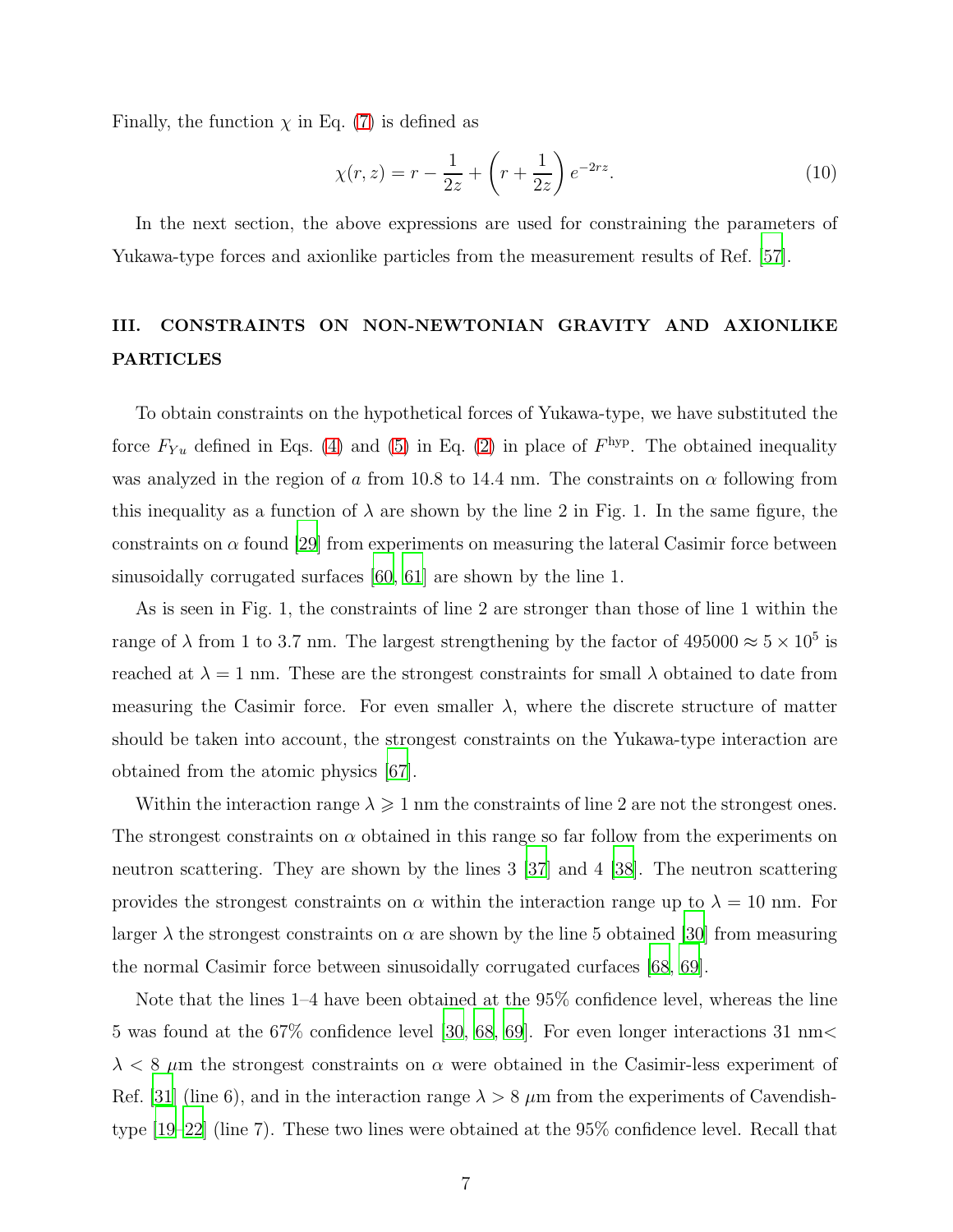Finally, the function  $\chi$  in Eq. [\(7\)](#page-5-1) is defined as

<span id="page-6-0"></span>
$$
\chi(r,z) = r - \frac{1}{2z} + \left(r + \frac{1}{2z}\right)e^{-2rz}.\tag{10}
$$

In the next section, the above expressions are used for constraining the parameters of Yukawa-type forces and axionlike particles from the measurement results of Ref. [\[57](#page-13-3)].

# III. CONSTRAINTS ON NON-NEWTONIAN GRAVITY AND AXIONLIKE PARTICLES

To obtain constraints on the hypothetical forces of Yukawa-type, we have substituted the force  $F_{Yu}$  defined in Eqs. [\(4\)](#page-4-1) and [\(5\)](#page-5-2) in Eq. [\(2\)](#page-4-2) in place of  $F^{hyp}$ . The obtained inequality was analyzed in the region of a from 10.8 to 14.4 nm. The constraints on  $\alpha$  following from this inequality as a function of  $\lambda$  are shown by the line 2 in Fig. 1. In the same figure, the constraints on  $\alpha$  found [\[29\]](#page-11-5) from experiments on measuring the lateral Casimir force between sinusoidally corrugated surfaces [\[60,](#page-14-0) [61\]](#page-14-1) are shown by the line 1.

As is seen in Fig. 1, the constraints of line 2 are stronger than those of line 1 within the range of  $\lambda$  from 1 to 3.7 nm. The largest strengthening by the factor of  $495000 \approx 5 \times 10^5$  is reached at  $\lambda = 1$  nm. These are the strongest constraints for small  $\lambda$  obtained to date from measuring the Casimir force. For even smaller  $\lambda$ , where the discrete structure of matter should be taken into account, the strongest constraints on the Yukawa-type interaction are obtained from the atomic physics [\[67\]](#page-14-7).

Within the interaction range  $\lambda \geq 1$  nm the constraints of line 2 are not the strongest ones. The strongest constraints on  $\alpha$  obtained in this range so far follow from the experiments on neutron scattering. They are shown by the lines 3 [\[37](#page-12-9)] and 4 [\[38\]](#page-12-10). The neutron scattering provides the strongest constraints on  $\alpha$  within the interaction range up to  $\lambda = 10$  nm. For larger  $\lambda$  the strongest constraints on  $\alpha$  are shown by the line 5 obtained [\[30\]](#page-11-6) from measuring the normal Casimir force between sinusoidally corrugated curfaces [\[68](#page-14-8), [69](#page-14-9)].

Note that the lines 1–4 have been obtained at the 95% confidence level, whereas the line 5 was found at the 67% confidence level [\[30,](#page-11-6) [68](#page-14-8), [69](#page-14-9)]. For even longer interactions 31 nm<  $\lambda < 8$   $\mu$ m the strongest constraints on  $\alpha$  were obtained in the Casimir-less experiment of Ref. [\[31\]](#page-11-7) (line 6), and in the interaction range  $\lambda > 8$   $\mu$ m from the experiments of Cavendishtype [\[19](#page-10-9)[–22](#page-10-10)] (line 7). These two lines were obtained at the 95% confidence level. Recall that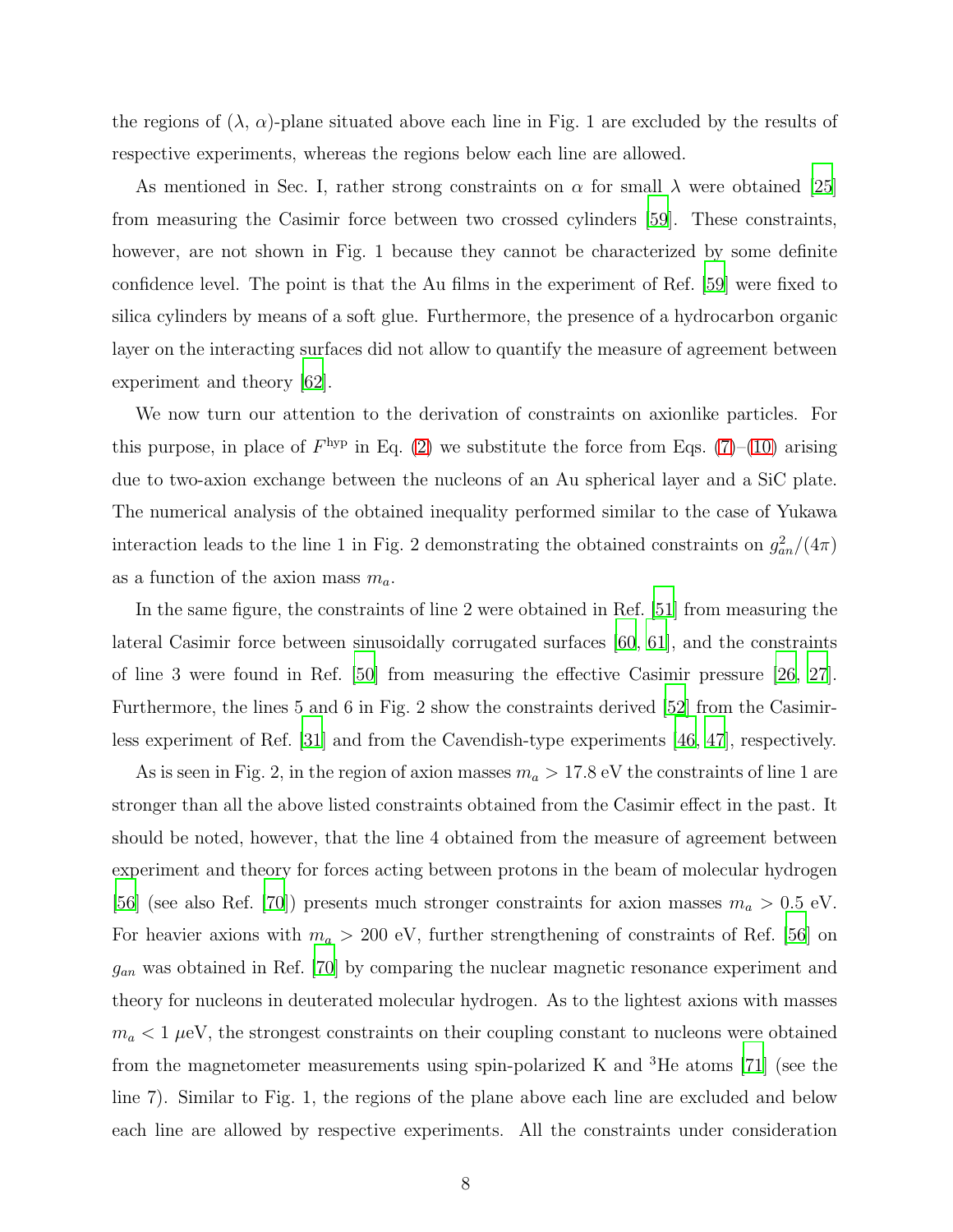the regions of  $(\lambda, \alpha)$ -plane situated above each line in Fig. 1 are excluded by the results of respective experiments, whereas the regions below each line are allowed.

As mentioned in Sec. I, rather strong constraints on  $\alpha$  for small  $\lambda$  were obtained [\[25\]](#page-11-4) from measuring the Casimir force between two crossed cylinders [\[59](#page-13-5)]. These constraints, however, are not shown in Fig. 1 because they cannot be characterized by some definite confidence level. The point is that the Au films in the experiment of Ref. [\[59\]](#page-13-5) were fixed to silica cylinders by means of a soft glue. Furthermore, the presence of a hydrocarbon organic layer on the interacting surfaces did not allow to quantify the measure of agreement between experiment and theory [\[62](#page-14-2)].

We now turn our attention to the derivation of constraints on axionlike particles. For this purpose, in place of  $F^{\text{hyp}}$  in Eq. [\(2\)](#page-4-2) we substitute the force from Eqs. [\(7\)](#page-5-1)–[\(10\)](#page-6-0) arising due to two-axion exchange between the nucleons of an Au spherical layer and a SiC plate. The numerical analysis of the obtained inequality performed similar to the case of Yukawa interaction leads to the line 1 in Fig. 2 demonstrating the obtained constraints on  $g_{an}^2/(4\pi)$ as a function of the axion mass  $m_a$ .

In the same figure, the constraints of line 2 were obtained in Ref. [\[51\]](#page-13-6) from measuring the lateral Casimir force between sinusoidally corrugated surfaces [\[60,](#page-14-0) [61](#page-14-1)], and the constraints of line 3 were found in Ref. [\[50\]](#page-13-8) from measuring the effective Casimir pressure [\[26](#page-11-2), [27\]](#page-11-3). Furthermore, the lines 5 and 6 in Fig. 2 show the constraints derived [\[52\]](#page-13-7) from the Casimirless experiment of Ref. [\[31\]](#page-11-7) and from the Cavendish-type experiments [\[46,](#page-12-7) [47\]](#page-12-8), respectively.

As is seen in Fig. 2, in the region of axion masses  $m_a > 17.8 \text{ eV}$  the constraints of line 1 are stronger than all the above listed constraints obtained from the Casimir effect in the past. It should be noted, however, that the line 4 obtained from the measure of agreement between experiment and theory for forces acting between protons in the beam of molecular hydrogen [\[56\]](#page-13-2) (see also Ref. [\[70\]](#page-14-10)) presents much stronger constraints for axion masses  $m_a > 0.5$  eV. For heavier axions with  $m_a > 200$  eV, further strengthening of constraints of Ref. [\[56](#page-13-2)] on  $g_{an}$  was obtained in Ref. [\[70\]](#page-14-10) by comparing the nuclear magnetic resonance experiment and theory for nucleons in deuterated molecular hydrogen. As to the lightest axions with masses  $m_a < 1~\mu\text{eV},$  the strongest constraints on their coupling constant to nucleons were obtained from the magnetometer measurements using spin-polarized K and <sup>3</sup>He atoms [\[71\]](#page-14-11) (see the line 7). Similar to Fig. 1, the regions of the plane above each line are excluded and below each line are allowed by respective experiments. All the constraints under consideration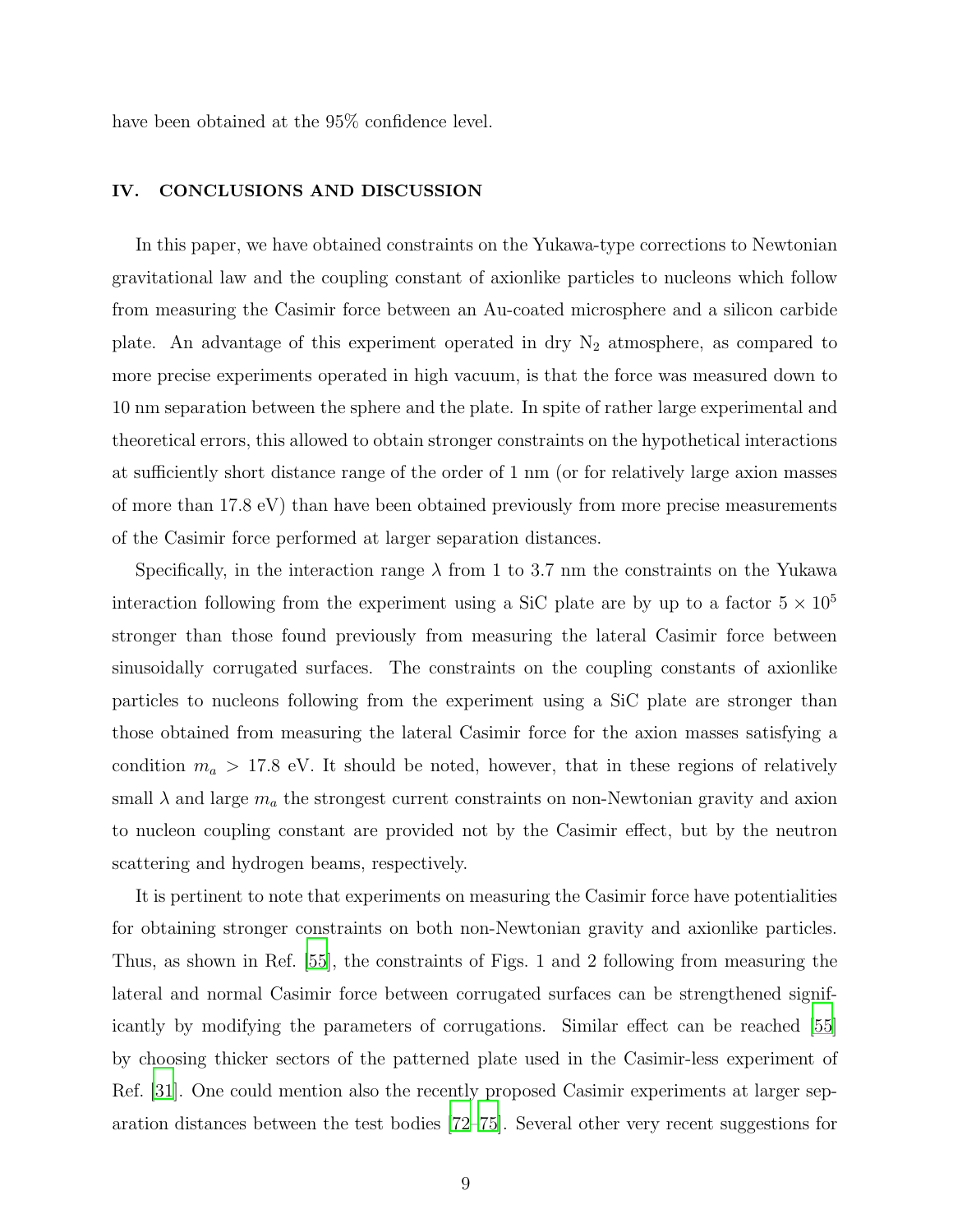have been obtained at the 95% confidence level.

### IV. CONCLUSIONS AND DISCUSSION

In this paper, we have obtained constraints on the Yukawa-type corrections to Newtonian gravitational law and the coupling constant of axionlike particles to nucleons which follow from measuring the Casimir force between an Au-coated microsphere and a silicon carbide plate. An advantage of this experiment operated in dry  $N_2$  atmosphere, as compared to more precise experiments operated in high vacuum, is that the force was measured down to 10 nm separation between the sphere and the plate. In spite of rather large experimental and theoretical errors, this allowed to obtain stronger constraints on the hypothetical interactions at sufficiently short distance range of the order of 1 nm (or for relatively large axion masses of more than 17.8 eV) than have been obtained previously from more precise measurements of the Casimir force performed at larger separation distances.

Specifically, in the interaction range  $\lambda$  from 1 to 3.7 nm the constraints on the Yukawa interaction following from the experiment using a SiC plate are by up to a factor  $5 \times 10^5$ stronger than those found previously from measuring the lateral Casimir force between sinusoidally corrugated surfaces. The constraints on the coupling constants of axionlike particles to nucleons following from the experiment using a SiC plate are stronger than those obtained from measuring the lateral Casimir force for the axion masses satisfying a condition  $m_a > 17.8$  eV. It should be noted, however, that in these regions of relatively small  $\lambda$  and large  $m_a$  the strongest current constraints on non-Newtonian gravity and axion to nucleon coupling constant are provided not by the Casimir effect, but by the neutron scattering and hydrogen beams, respectively.

It is pertinent to note that experiments on measuring the Casimir force have potentialities for obtaining stronger constraints on both non-Newtonian gravity and axionlike particles. Thus, as shown in Ref. [\[55](#page-13-1)], the constraints of Figs. 1 and 2 following from measuring the lateral and normal Casimir force between corrugated surfaces can be strengthened significantly by modifying the parameters of corrugations. Similar effect can be reached [\[55\]](#page-13-1) by choosing thicker sectors of the patterned plate used in the Casimir-less experiment of Ref. [\[31](#page-11-7)]. One could mention also the recently proposed Casimir experiments at larger separation distances between the test bodies [\[72](#page-15-0)[–75\]](#page-15-1). Several other very recent suggestions for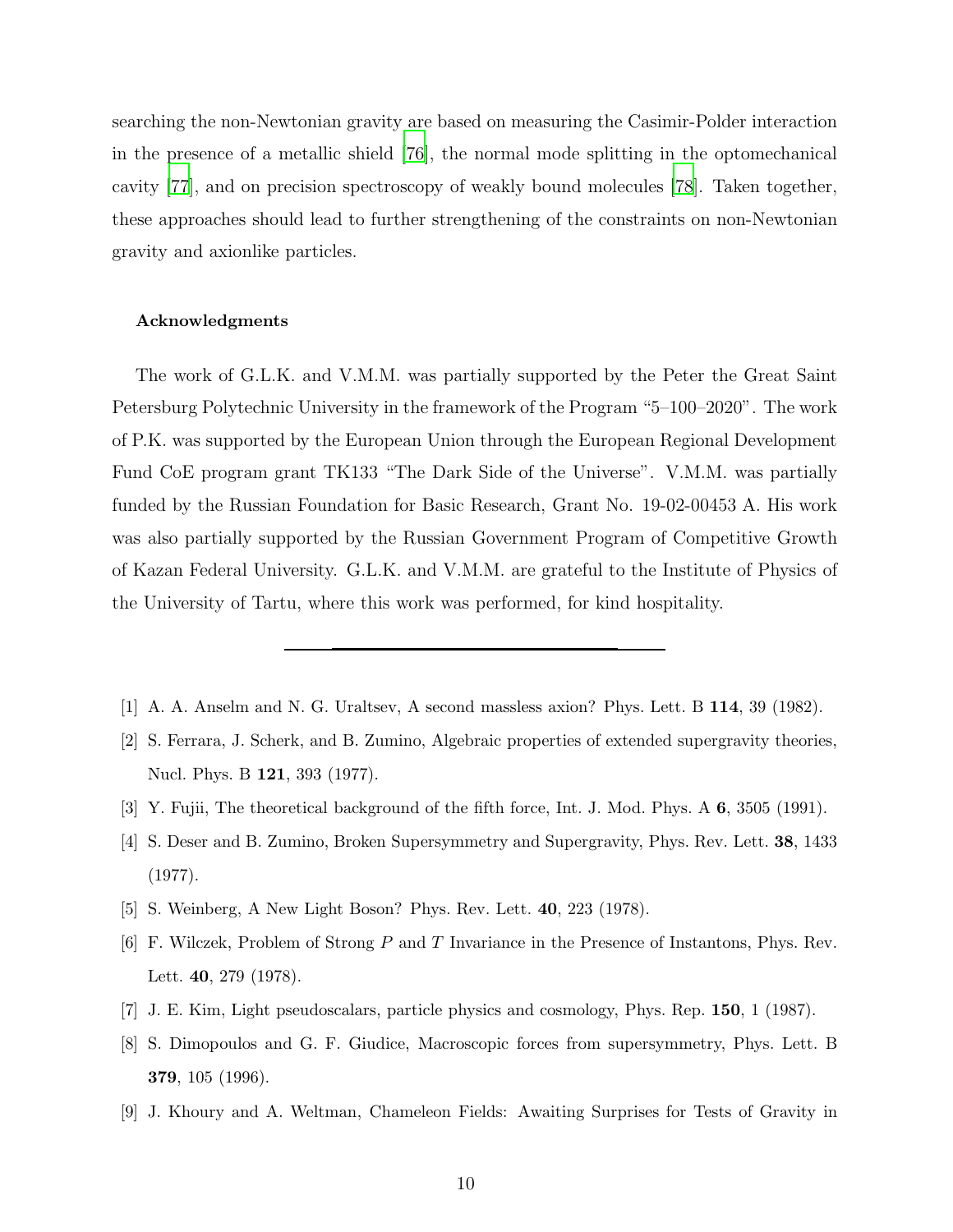searching the non-Newtonian gravity are based on measuring the Casimir-Polder interaction in the presence of a metallic shield [\[76\]](#page-15-2), the normal mode splitting in the optomechanical cavity [\[77\]](#page-15-3), and on precision spectroscopy of weakly bound molecules [\[78\]](#page-15-4). Taken together, these approaches should lead to further strengthening of the constraints on non-Newtonian gravity and axionlike particles.

#### Acknowledgments

The work of G.L.K. and V.M.M. was partially supported by the Peter the Great Saint Petersburg Polytechnic University in the framework of the Program "5–100–2020". The work of P.K. was supported by the European Union through the European Regional Development Fund CoE program grant TK133 "The Dark Side of the Universe". V.M.M. was partially funded by the Russian Foundation for Basic Research, Grant No. 19-02-00453 A. His work was also partially supported by the Russian Government Program of Competitive Growth of Kazan Federal University. G.L.K. and V.M.M. are grateful to the Institute of Physics of the University of Tartu, where this work was performed, for kind hospitality.

- <span id="page-9-0"></span>[1] A. A. Anselm and N. G. Uraltsev, A second massless axion? Phys. Lett. B 114, 39 (1982).
- [2] S. Ferrara, J. Scherk, and B. Zumino, Algebraic properties of extended supergravity theories, Nucl. Phys. B 121, 393 (1977).
- [3] Y. Fujii, The theoretical background of the fifth force, Int. J. Mod. Phys. A 6, 3505 (1991).
- [4] S. Deser and B. Zumino, Broken Supersymmetry and Supergravity, Phys. Rev. Lett. 38, 1433 (1977).
- [5] S. Weinberg, A New Light Boson? Phys. Rev. Lett. 40, 223 (1978).
- [6] F. Wilczek, Problem of Strong  $P$  and  $T$  Invariance in the Presence of Instantons, Phys. Rev. Lett. 40, 279 (1978).
- [7] J. E. Kim, Light pseudoscalars, particle physics and cosmology, Phys. Rep. 150, 1 (1987).
- [8] S. Dimopoulos and G. F. Giudice, Macroscopic forces from supersymmetry, Phys. Lett. B 379, 105 (1996).
- [9] J. Khoury and A. Weltman, Chameleon Fields: Awaiting Surprises for Tests of Gravity in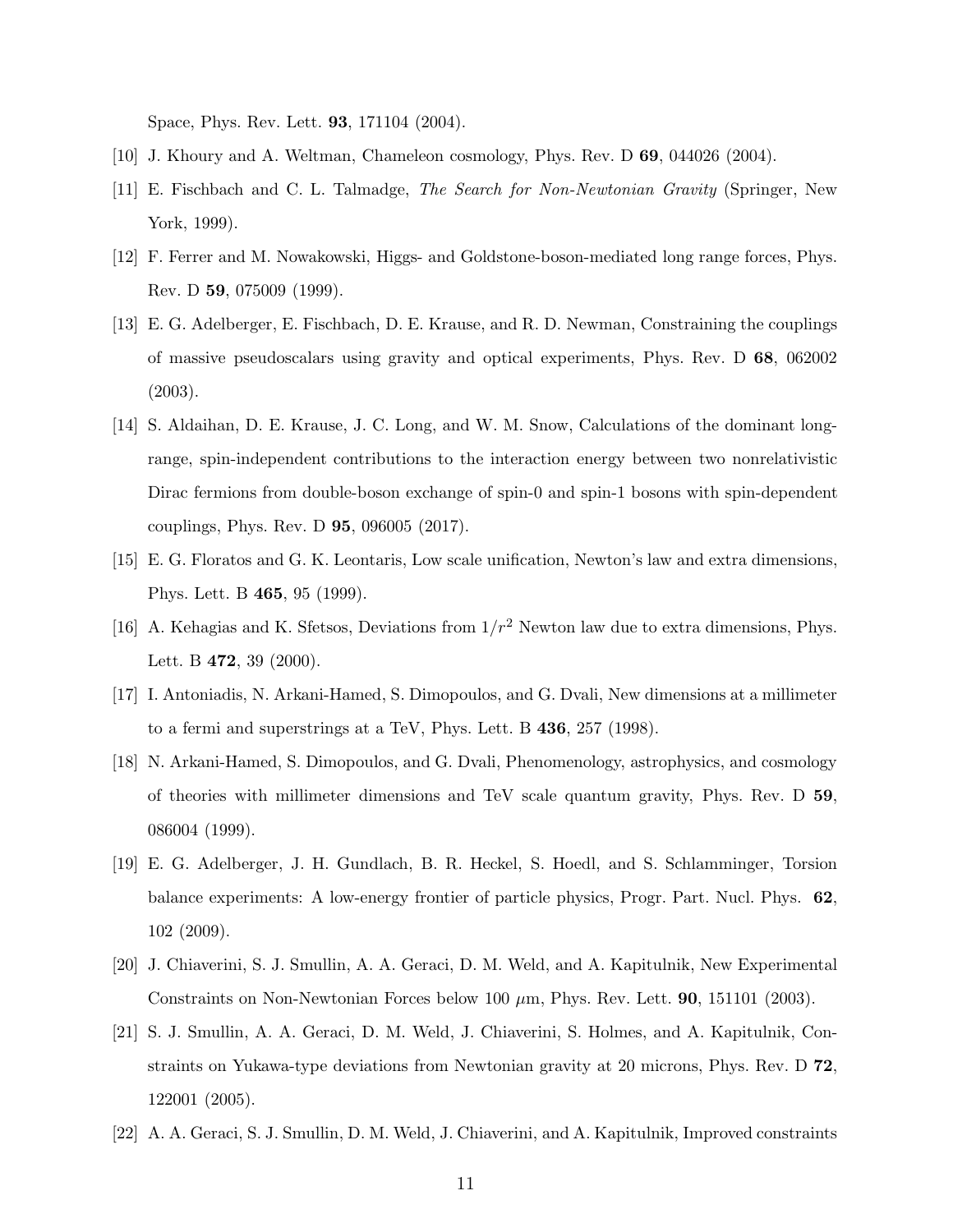Space, Phys. Rev. Lett. 93, 171104 (2004).

- <span id="page-10-1"></span><span id="page-10-0"></span>[10] J. Khoury and A. Weltman, Chameleon cosmology, Phys. Rev. D 69, 044026 (2004).
- [11] E. Fischbach and C. L. Talmadge, The Search for Non-Newtonian Gravity (Springer, New York, 1999).
- <span id="page-10-2"></span>[12] F. Ferrer and M. Nowakowski, Higgs- and Goldstone-boson-mediated long range forces, Phys. Rev. D 59, 075009 (1999).
- <span id="page-10-3"></span>[13] E. G. Adelberger, E. Fischbach, D. E. Krause, and R. D. Newman, Constraining the couplings of massive pseudoscalars using gravity and optical experiments, Phys. Rev. D 68, 062002 (2003).
- <span id="page-10-4"></span>[14] S. Aldaihan, D. E. Krause, J. C. Long, and W. M. Snow, Calculations of the dominant longrange, spin-independent contributions to the interaction energy between two nonrelativistic Dirac fermions from double-boson exchange of spin-0 and spin-1 bosons with spin-dependent couplings, Phys. Rev. D 95, 096005 (2017).
- <span id="page-10-5"></span>[15] E. G. Floratos and G. K. Leontaris, Low scale unification, Newton's law and extra dimensions, Phys. Lett. B 465, 95 (1999).
- <span id="page-10-6"></span>[16] A. Kehagias and K. Sfetsos, Deviations from  $1/r^2$  Newton law due to extra dimensions, Phys. Lett. B 472, 39 (2000).
- <span id="page-10-7"></span>[17] I. Antoniadis, N. Arkani-Hamed, S. Dimopoulos, and G. Dvali, New dimensions at a millimeter to a fermi and superstrings at a TeV, Phys. Lett. B 436, 257 (1998).
- <span id="page-10-8"></span>[18] N. Arkani-Hamed, S. Dimopoulos, and G. Dvali, Phenomenology, astrophysics, and cosmology of theories with millimeter dimensions and TeV scale quantum gravity, Phys. Rev. D 59, 086004 (1999).
- <span id="page-10-9"></span>[19] E. G. Adelberger, J. H. Gundlach, B. R. Heckel, S. Hoedl, and S. Schlamminger, Torsion balance experiments: A low-energy frontier of particle physics, Progr. Part. Nucl. Phys. 62, 102 (2009).
- [20] J. Chiaverini, S. J. Smullin, A. A. Geraci, D. M. Weld, and A. Kapitulnik, New Experimental Constraints on Non-Newtonian Forces below 100 µm, Phys. Rev. Lett. 90, 151101 (2003).
- [21] S. J. Smullin, A. A. Geraci, D. M. Weld, J. Chiaverini, S. Holmes, and A. Kapitulnik, Constraints on Yukawa-type deviations from Newtonian gravity at 20 microns, Phys. Rev. D 72, 122001 (2005).
- <span id="page-10-10"></span>[22] A. A. Geraci, S. J. Smullin, D. M. Weld, J. Chiaverini, and A. Kapitulnik, Improved constraints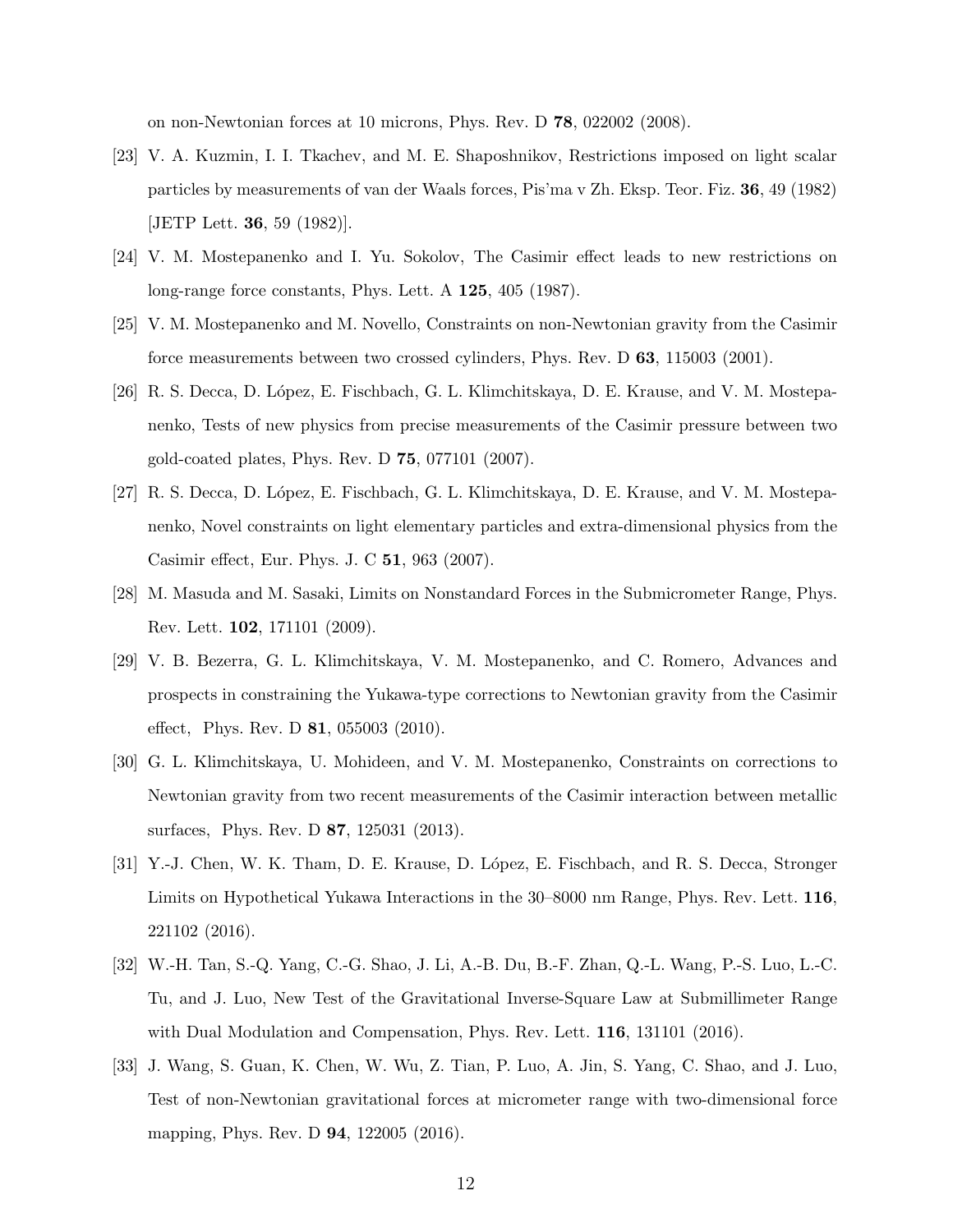on non-Newtonian forces at 10 microns, Phys. Rev. D 78, 022002 (2008).

- <span id="page-11-0"></span>[23] V. A. Kuzmin, I. I. Tkachev, and M. E. Shaposhnikov, Restrictions imposed on light scalar particles by measurements of van der Waals forces, Pis'ma v Zh. Eksp. Teor. Fiz. 36, 49 (1982) [JETP Lett. 36, 59 (1982)].
- [24] V. M. Mostepanenko and I. Yu. Sokolov, The Casimir effect leads to new restrictions on long-range force constants, Phys. Lett. A 125, 405 (1987).
- <span id="page-11-4"></span>[25] V. M. Mostepanenko and M. Novello, Constraints on non-Newtonian gravity from the Casimir force measurements between two crossed cylinders, Phys. Rev. D 63, 115003 (2001).
- <span id="page-11-2"></span>[26] R. S. Decca, D. López, E. Fischbach, G. L. Klimchitskaya, D. E. Krause, and V. M. Mostepanenko, Tests of new physics from precise measurements of the Casimir pressure between two gold-coated plates, Phys. Rev. D 75, 077101 (2007).
- <span id="page-11-3"></span>[27] R. S. Decca, D. López, E. Fischbach, G. L. Klimchitskaya, D. E. Krause, and V. M. Mostepanenko, Novel constraints on light elementary particles and extra-dimensional physics from the Casimir effect, Eur. Phys. J. C 51, 963 (2007).
- [28] M. Masuda and M. Sasaki, Limits on Nonstandard Forces in the Submicrometer Range, Phys. Rev. Lett. 102, 171101 (2009).
- <span id="page-11-5"></span>[29] V. B. Bezerra, G. L. Klimchitskaya, V. M. Mostepanenko, and C. Romero, Advances and prospects in constraining the Yukawa-type corrections to Newtonian gravity from the Casimir effect, Phys. Rev. D 81, 055003 (2010).
- <span id="page-11-6"></span>[30] G. L. Klimchitskaya, U. Mohideen, and V. M. Mostepanenko, Constraints on corrections to Newtonian gravity from two recent measurements of the Casimir interaction between metallic surfaces, Phys. Rev. D 87, 125031 (2013).
- <span id="page-11-7"></span>[31] Y.-J. Chen, W. K. Tham, D. E. Krause, D. López, E. Fischbach, and R. S. Decca, Stronger Limits on Hypothetical Yukawa Interactions in the 30–8000 nm Range, Phys. Rev. Lett. 116, 221102 (2016).
- [32] W.-H. Tan, S.-Q. Yang, C.-G. Shao, J. Li, A.-B. Du, B.-F. Zhan, Q.-L. Wang, P.-S. Luo, L.-C. Tu, and J. Luo, New Test of the Gravitational Inverse-Square Law at Submillimeter Range with Dual Modulation and Compensation, Phys. Rev. Lett. **116**, 131101 (2016).
- <span id="page-11-1"></span>[33] J. Wang, S. Guan, K. Chen, W. Wu, Z. Tian, P. Luo, A. Jin, S. Yang, C. Shao, and J. Luo, Test of non-Newtonian gravitational forces at micrometer range with two-dimensional force mapping, Phys. Rev. D 94, 122005 (2016).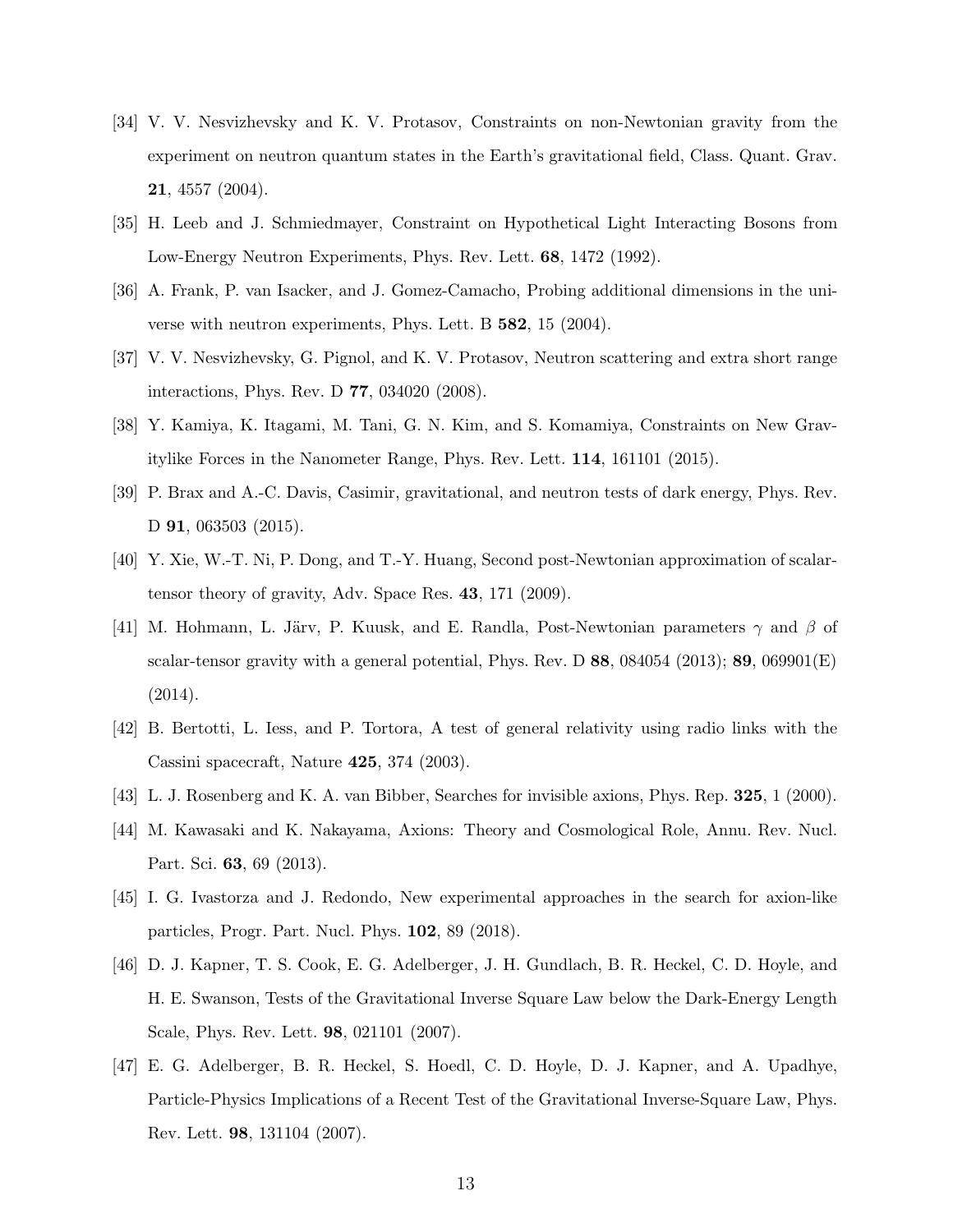- <span id="page-12-0"></span>[34] V. V. Nesvizhevsky and K. V. Protasov, Constraints on non-Newtonian gravity from the experiment on neutron quantum states in the Earth's gravitational field, Class. Quant. Grav. 21, 4557 (2004).
- [35] H. Leeb and J. Schmiedmayer, Constraint on Hypothetical Light Interacting Bosons from Low-Energy Neutron Experiments, Phys. Rev. Lett. 68, 1472 (1992).
- [36] A. Frank, P. van Isacker, and J. Gomez-Camacho, Probing additional dimensions in the universe with neutron experiments, Phys. Lett. B 582, 15 (2004).
- <span id="page-12-9"></span>[37] V. V. Nesvizhevsky, G. Pignol, and K. V. Protasov, Neutron scattering and extra short range interactions, Phys. Rev. D 77, 034020 (2008).
- <span id="page-12-10"></span>[38] Y. Kamiya, K. Itagami, M. Tani, G. N. Kim, and S. Komamiya, Constraints on New Gravitylike Forces in the Nanometer Range, Phys. Rev. Lett. 114, 161101 (2015).
- <span id="page-12-1"></span>[39] P. Brax and A.-C. Davis, Casimir, gravitational, and neutron tests of dark energy, Phys. Rev. D **91**, 063503 (2015).
- <span id="page-12-2"></span>[40] Y. Xie, W.-T. Ni, P. Dong, and T.-Y. Huang, Second post-Newtonian approximation of scalartensor theory of gravity, Adv. Space Res. 43, 171 (2009).
- <span id="page-12-3"></span>[41] M. Hohmann, L. Järv, P. Kuusk, and E. Randla, Post-Newtonian parameters  $\gamma$  and  $\beta$  of scalar-tensor gravity with a general potential, Phys. Rev. D  $88$ , 084054 (2013);  $89$ , 069901(E) (2014).
- <span id="page-12-4"></span>[42] B. Bertotti, L. Iess, and P. Tortora, A test of general relativity using radio links with the Cassini spacecraft, Nature 425, 374 (2003).
- <span id="page-12-5"></span>[43] L. J. Rosenberg and K. A. van Bibber, Searches for invisible axions, Phys. Rep. 325, 1 (2000).
- [44] M. Kawasaki and K. Nakayama, Axions: Theory and Cosmological Role, Annu. Rev. Nucl. Part. Sci. 63, 69 (2013).
- <span id="page-12-6"></span>[45] I. G. Ivastorza and J. Redondo, New experimental approaches in the search for axion-like particles, Progr. Part. Nucl. Phys. 102, 89 (2018).
- <span id="page-12-7"></span>[46] D. J. Kapner, T. S. Cook, E. G. Adelberger, J. H. Gundlach, B. R. Heckel, C. D. Hoyle, and H. E. Swanson, Tests of the Gravitational Inverse Square Law below the Dark-Energy Length Scale, Phys. Rev. Lett. 98, 021101 (2007).
- <span id="page-12-8"></span>[47] E. G. Adelberger, B. R. Heckel, S. Hoedl, C. D. Hoyle, D. J. Kapner, and A. Upadhye, Particle-Physics Implications of a Recent Test of the Gravitational Inverse-Square Law, Phys. Rev. Lett. 98, 131104 (2007).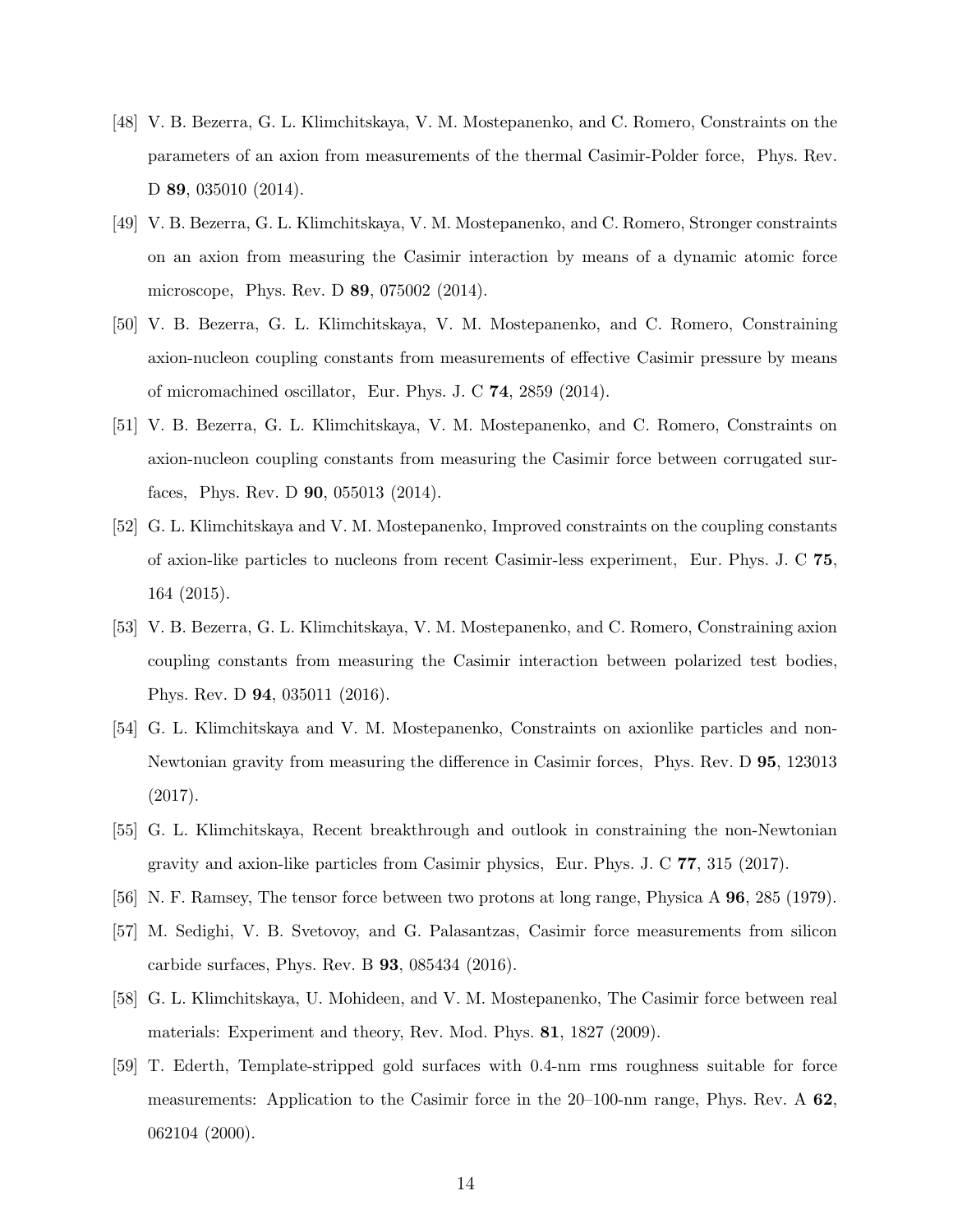- <span id="page-13-0"></span>[48] V. B. Bezerra, G. L. Klimchitskaya, V. M. Mostepanenko, and C. Romero, Constraints on the parameters of an axion from measurements of the thermal Casimir-Polder force, Phys. Rev. D 89, 035010 (2014).
- [49] V. B. Bezerra, G. L. Klimchitskaya, V. M. Mostepanenko, and C. Romero, Stronger constraints on an axion from measuring the Casimir interaction by means of a dynamic atomic force microscope, Phys. Rev. D 89, 075002 (2014).
- <span id="page-13-8"></span>[50] V. B. Bezerra, G. L. Klimchitskaya, V. M. Mostepanenko, and C. Romero, Constraining axion-nucleon coupling constants from measurements of effective Casimir pressure by means of micromachined oscillator, Eur. Phys. J. C 74, 2859 (2014).
- <span id="page-13-6"></span>[51] V. B. Bezerra, G. L. Klimchitskaya, V. M. Mostepanenko, and C. Romero, Constraints on axion-nucleon coupling constants from measuring the Casimir force between corrugated surfaces, Phys. Rev. D 90, 055013 (2014).
- <span id="page-13-7"></span>[52] G. L. Klimchitskaya and V. M. Mostepanenko, Improved constraints on the coupling constants of axion-like particles to nucleons from recent Casimir-less experiment, Eur. Phys. J. C 75, 164 (2015).
- [53] V. B. Bezerra, G. L. Klimchitskaya, V. M. Mostepanenko, and C. Romero, Constraining axion coupling constants from measuring the Casimir interaction between polarized test bodies, Phys. Rev. D 94, 035011 (2016).
- [54] G. L. Klimchitskaya and V. M. Mostepanenko, Constraints on axionlike particles and non-Newtonian gravity from measuring the difference in Casimir forces, Phys. Rev. D 95, 123013 (2017).
- <span id="page-13-1"></span>[55] G. L. Klimchitskaya, Recent breakthrough and outlook in constraining the non-Newtonian gravity and axion-like particles from Casimir physics, Eur. Phys. J. C 77, 315 (2017).
- <span id="page-13-2"></span>[56] N. F. Ramsey, The tensor force between two protons at long range, Physica A 96, 285 (1979).
- <span id="page-13-3"></span>[57] M. Sedighi, V. B. Svetovoy, and G. Palasantzas, Casimir force measurements from silicon carbide surfaces, Phys. Rev. B 93, 085434 (2016).
- <span id="page-13-4"></span>[58] G. L. Klimchitskaya, U. Mohideen, and V. M. Mostepanenko, The Casimir force between real materials: Experiment and theory, Rev. Mod. Phys. 81, 1827 (2009).
- <span id="page-13-5"></span>[59] T. Ederth, Template-stripped gold surfaces with 0.4-nm rms roughness suitable for force measurements: Application to the Casimir force in the 20–100-nm range, Phys. Rev. A 62, 062104 (2000).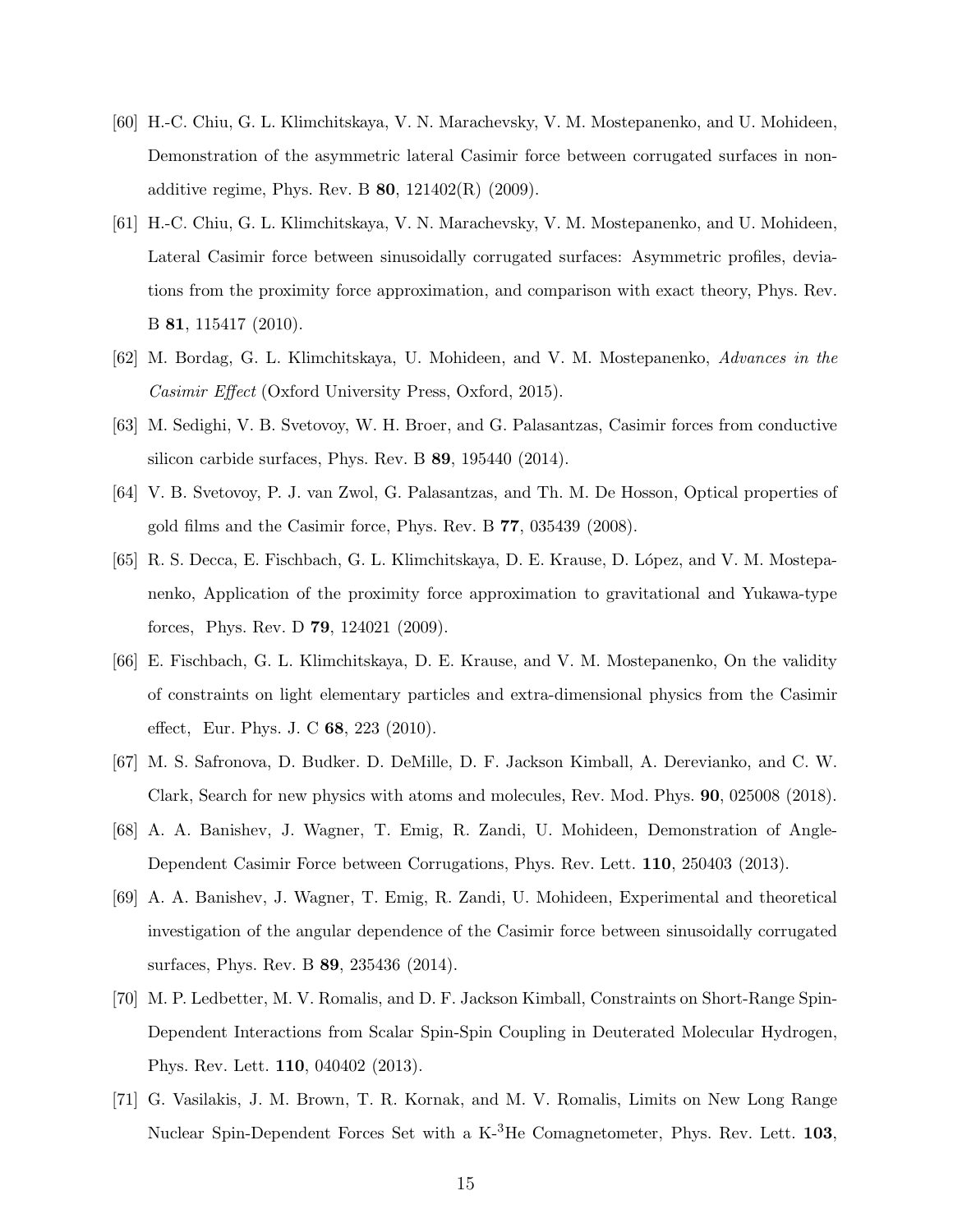- <span id="page-14-0"></span>[60] H.-C. Chiu, G. L. Klimchitskaya, V. N. Marachevsky, V. M. Mostepanenko, and U. Mohideen, Demonstration of the asymmetric lateral Casimir force between corrugated surfaces in nonadditive regime, Phys. Rev. B  $80$ ,  $121402(R)$  (2009).
- <span id="page-14-1"></span>[61] H.-C. Chiu, G. L. Klimchitskaya, V. N. Marachevsky, V. M. Mostepanenko, and U. Mohideen, Lateral Casimir force between sinusoidally corrugated surfaces: Asymmetric profiles, deviations from the proximity force approximation, and comparison with exact theory, Phys. Rev. B 81, 115417 (2010).
- <span id="page-14-2"></span>[62] M. Bordag, G. L. Klimchitskaya, U. Mohideen, and V. M. Mostepanenko, Advances in the Casimir Effect (Oxford University Press, Oxford, 2015).
- <span id="page-14-3"></span>[63] M. Sedighi, V. B. Svetovoy, W. H. Broer, and G. Palasantzas, Casimir forces from conductive silicon carbide surfaces, Phys. Rev. B 89, 195440 (2014).
- <span id="page-14-4"></span>[64] V. B. Svetovoy, P. J. van Zwol, G. Palasantzas, and Th. M. De Hosson, Optical properties of gold films and the Casimir force, Phys. Rev. B 77, 035439 (2008).
- <span id="page-14-5"></span>[65] R. S. Decca, E. Fischbach, G. L. Klimchitskaya, D. E. Krause, D. López, and V. M. Mostepanenko, Application of the proximity force approximation to gravitational and Yukawa-type forces, Phys. Rev. D 79, 124021 (2009).
- <span id="page-14-6"></span>[66] E. Fischbach, G. L. Klimchitskaya, D. E. Krause, and V. M. Mostepanenko, On the validity of constraints on light elementary particles and extra-dimensional physics from the Casimir effect, Eur. Phys. J. C 68, 223 (2010).
- <span id="page-14-7"></span>[67] M. S. Safronova, D. Budker. D. DeMille, D. F. Jackson Kimball, A. Derevianko, and C. W. Clark, Search for new physics with atoms and molecules, Rev. Mod. Phys. 90, 025008 (2018).
- <span id="page-14-8"></span>[68] A. A. Banishev, J. Wagner, T. Emig, R. Zandi, U. Mohideen, Demonstration of Angle-Dependent Casimir Force between Corrugations, Phys. Rev. Lett. 110, 250403 (2013).
- <span id="page-14-9"></span>[69] A. A. Banishev, J. Wagner, T. Emig, R. Zandi, U. Mohideen, Experimental and theoretical investigation of the angular dependence of the Casimir force between sinusoidally corrugated surfaces, Phys. Rev. B 89, 235436 (2014).
- <span id="page-14-10"></span>[70] M. P. Ledbetter, M. V. Romalis, and D. F. Jackson Kimball, Constraints on Short-Range Spin-Dependent Interactions from Scalar Spin-Spin Coupling in Deuterated Molecular Hydrogen, Phys. Rev. Lett. 110, 040402 (2013).
- <span id="page-14-11"></span>[71] G. Vasilakis, J. M. Brown, T. R. Kornak, and M. V. Romalis, Limits on New Long Range Nuclear Spin-Dependent Forces Set with a  $K^{-3}$ He Comagnetometer, Phys. Rev. Lett. 103,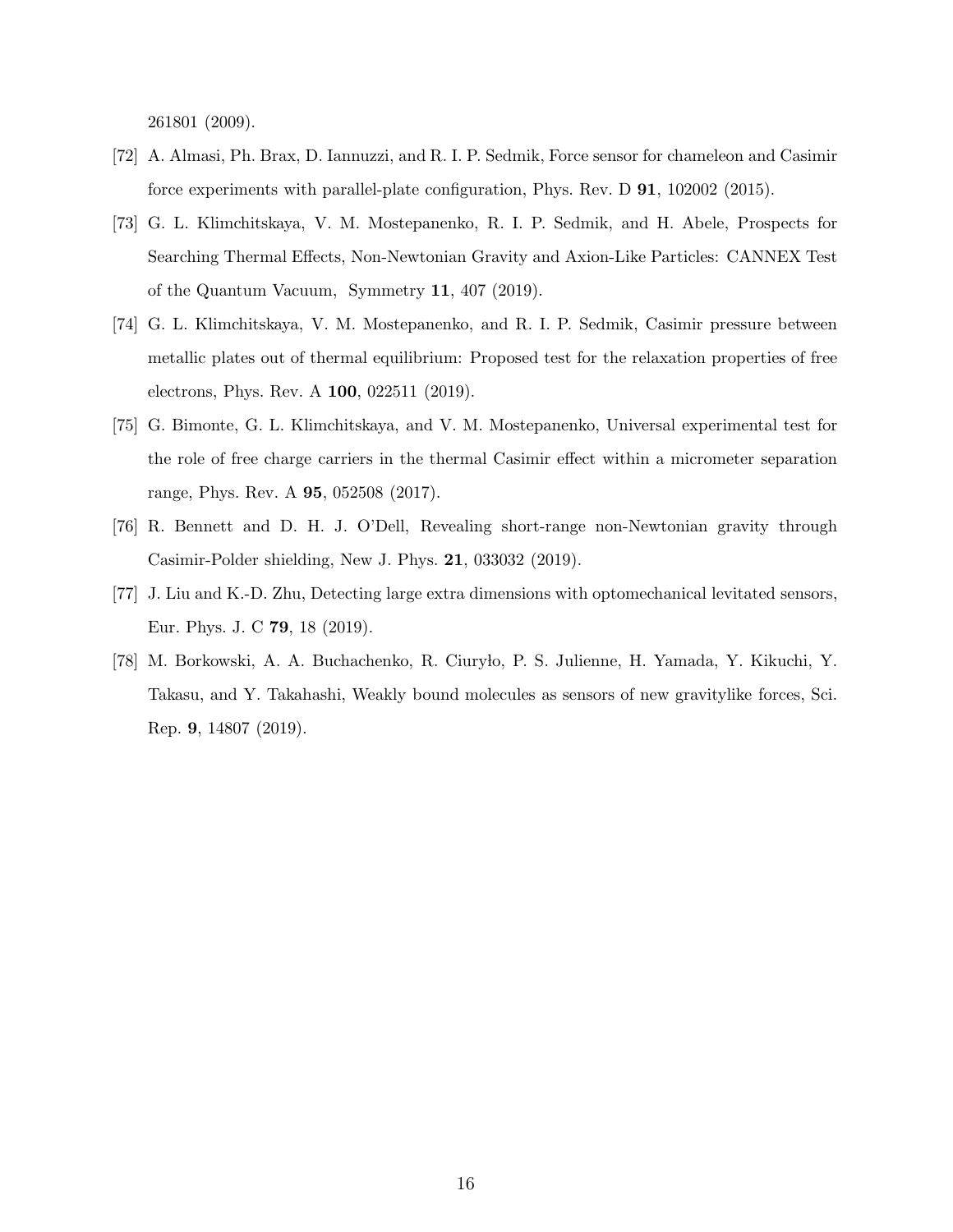261801 (2009).

- <span id="page-15-0"></span>[72] A. Almasi, Ph. Brax, D. Iannuzzi, and R. I. P. Sedmik, Force sensor for chameleon and Casimir force experiments with parallel-plate configuration, Phys. Rev. D 91, 102002 (2015).
- [73] G. L. Klimchitskaya, V. M. Mostepanenko, R. I. P. Sedmik, and H. Abele, Prospects for Searching Thermal Effects, Non-Newtonian Gravity and Axion-Like Particles: CANNEX Test of the Quantum Vacuum, Symmetry 11, 407 (2019).
- [74] G. L. Klimchitskaya, V. M. Mostepanenko, and R. I. P. Sedmik, Casimir pressure between metallic plates out of thermal equilibrium: Proposed test for the relaxation properties of free electrons, Phys. Rev. A 100, 022511 (2019).
- <span id="page-15-1"></span>[75] G. Bimonte, G. L. Klimchitskaya, and V. M. Mostepanenko, Universal experimental test for the role of free charge carriers in the thermal Casimir effect within a micrometer separation range, Phys. Rev. A 95, 052508 (2017).
- <span id="page-15-2"></span>[76] R. Bennett and D. H. J. O'Dell, Revealing short-range non-Newtonian gravity through Casimir-Polder shielding, New J. Phys. 21, 033032 (2019).
- <span id="page-15-3"></span>[77] J. Liu and K.-D. Zhu, Detecting large extra dimensions with optomechanical levitated sensors, Eur. Phys. J. C 79, 18 (2019).
- <span id="page-15-4"></span>[78] M. Borkowski, A. A. Buchachenko, R. Ciuryło, P. S. Julienne, H. Yamada, Y. Kikuchi, Y. Takasu, and Y. Takahashi, Weakly bound molecules as sensors of new gravitylike forces, Sci. Rep. 9, 14807 (2019).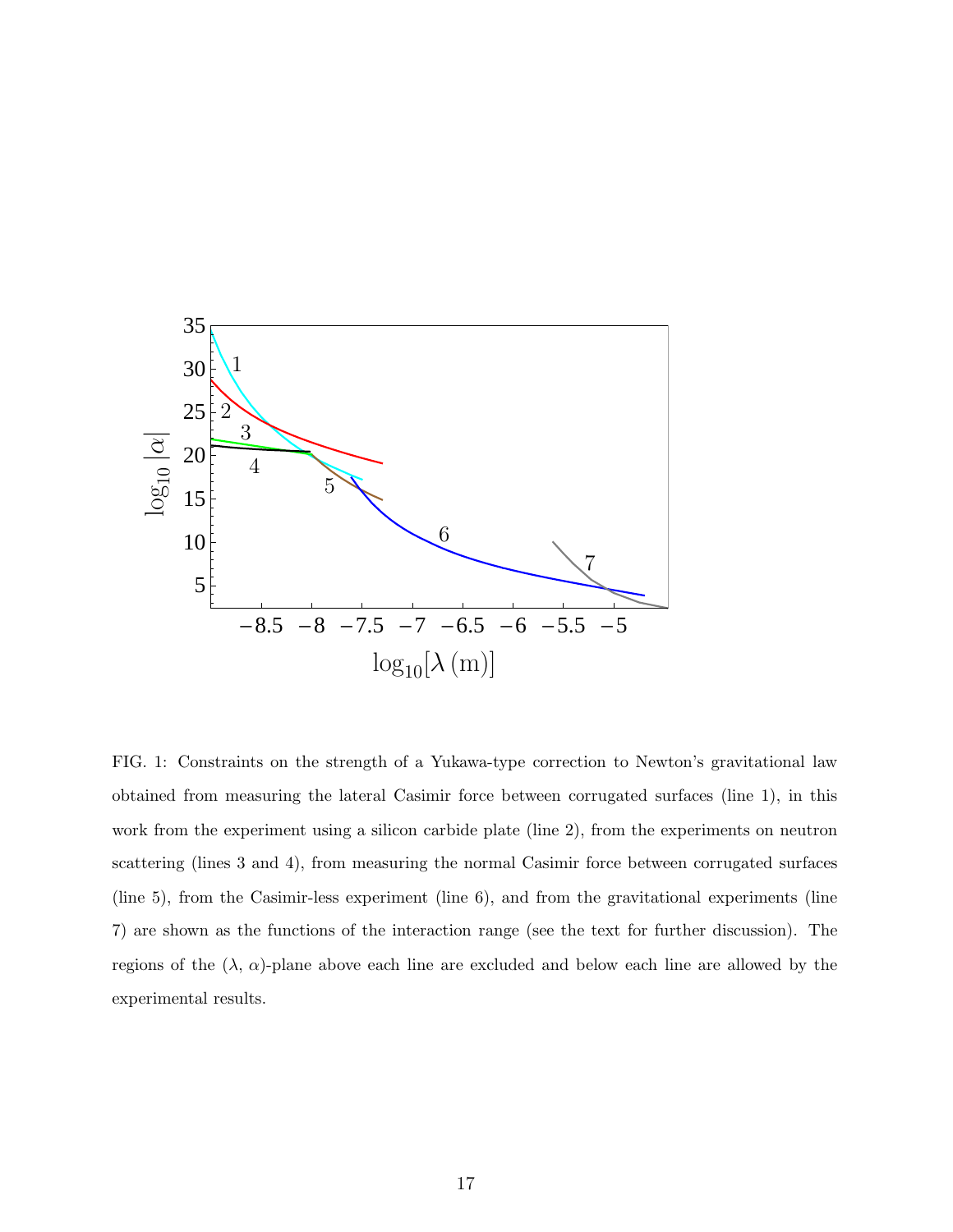

FIG. 1: Constraints on the strength of a Yukawa-type correction to Newton's gravitational law obtained from measuring the lateral Casimir force between corrugated surfaces (line 1), in this work from the experiment using a silicon carbide plate (line 2), from the experiments on neutron scattering (lines 3 and 4), from measuring the normal Casimir force between corrugated surfaces (line 5), from the Casimir-less experiment (line 6), and from the gravitational experiments (line 7) are shown as the functions of the interaction range (see the text for further discussion). The regions of the  $(\lambda, \alpha)$ -plane above each line are excluded and below each line are allowed by the experimental results.